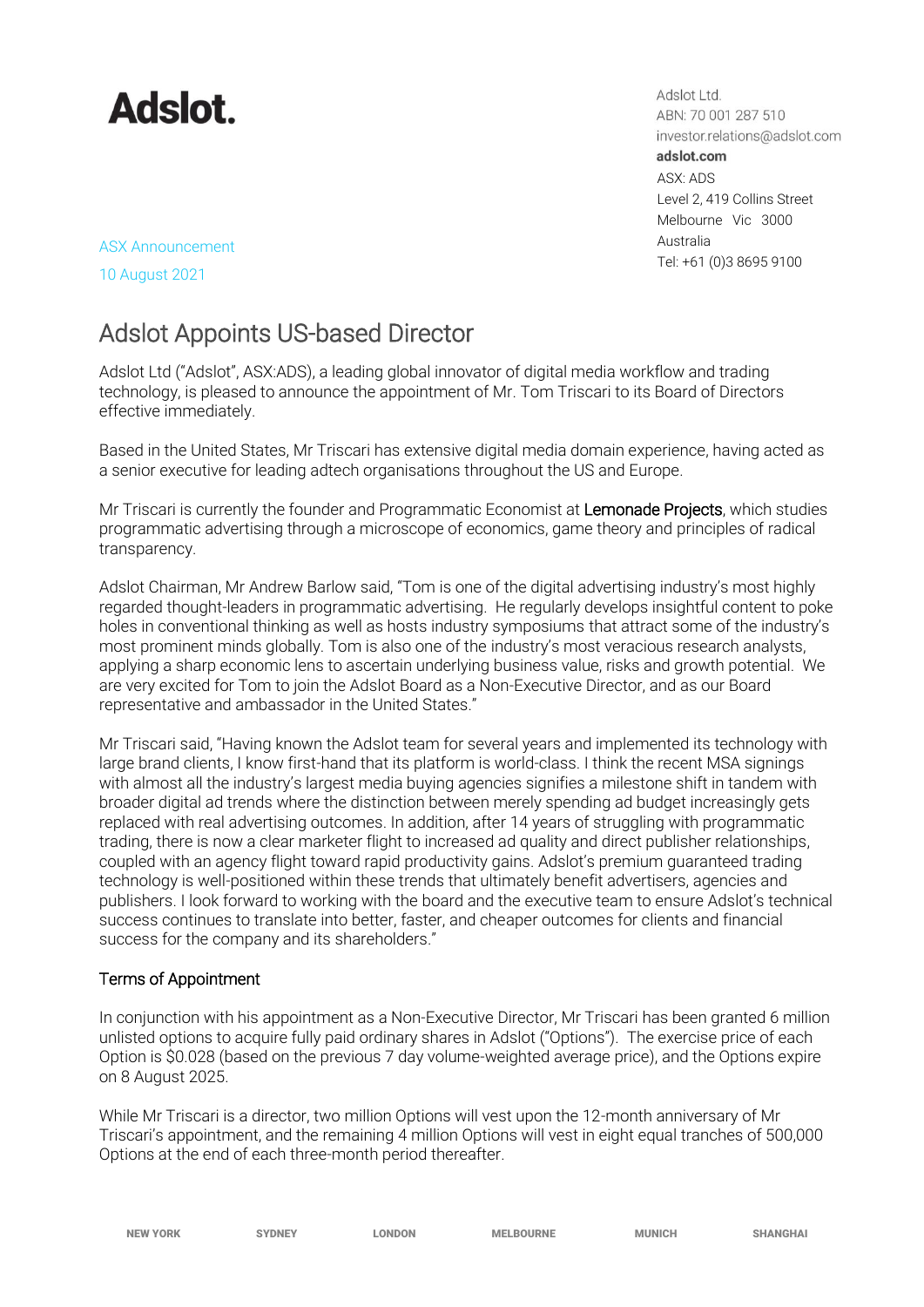

Adslot Ltd. ABN: 70 001 287 510 investor.relations@adslot.com adslot.com ASX: ADS Level 2, 419 Collins Street Melbourne Vic 3000 Australia Tel: +61 (0)3 8695 9100

ASX Announcement 10 August 2021

# Adslot Appoints US-based Director

Adslot Ltd ("Adslot", ASX:ADS), a leading global innovator of digital media workflow and trading technology, is pleased to announce the appointment of Mr. Tom Triscari to its Board of Directors effective immediately.

Based in the United States, Mr Triscari has extensive digital media domain experience, having acted as a senior executive for leading adtech organisations throughout the US and Europe.

Mr Triscari is currently the founder and Programmatic Economist at Lemonade Projects, which studies programmatic advertising through a microscope of economics, game theory and principles of radical transparency.

Adslot Chairman, Mr Andrew Barlow said, "Tom is one of the digital advertising industry's most highly regarded thought-leaders in programmatic advertising. He regularly develops insightful content to poke holes in conventional thinking as well as hosts industry symposiums that attract some of the industry's most prominent minds globally. Tom is also one of the industry's most veracious research analysts, applying a sharp economic lens to ascertain underlying business value, risks and growth potential. We are very excited for Tom to join the Adslot Board as a Non-Executive Director, and as our Board representative and ambassador in the United States."

Mr Triscari said, "Having known the Adslot team for several years and implemented its technology with large brand clients, I know first-hand that its platform is world-class. I think the recent MSA signings with almost all the industry's largest media buying agencies signifies a milestone shift in tandem with broader digital ad trends where the distinction between merely spending ad budget increasingly gets replaced with real advertising outcomes. In addition, after 14 years of struggling with programmatic trading, there is now a clear marketer flight to increased ad quality and direct publisher relationships, coupled with an agency flight toward rapid productivity gains. Adslot's premium guaranteed trading technology is well-positioned within these trends that ultimately benefit advertisers, agencies and publishers. I look forward to working with the board and the executive team to ensure Adslot's technical success continues to translate into better, faster, and cheaper outcomes for clients and financial success for the company and its shareholders."

## Terms of Appointment

In conjunction with his appointment as a Non-Executive Director, Mr Triscari has been granted 6 million unlisted options to acquire fully paid ordinary shares in Adslot ("Options"). The exercise price of each Option is \$0.028 (based on the previous 7 day volume-weighted average price), and the Options expire on 8 August 2025.

While Mr Triscari is a director, two million Options will vest upon the 12-month anniversary of Mr Triscari's appointment, and the remaining 4 million Options will vest in eight equal tranches of 500,000 Options at the end of each three-month period thereafter.